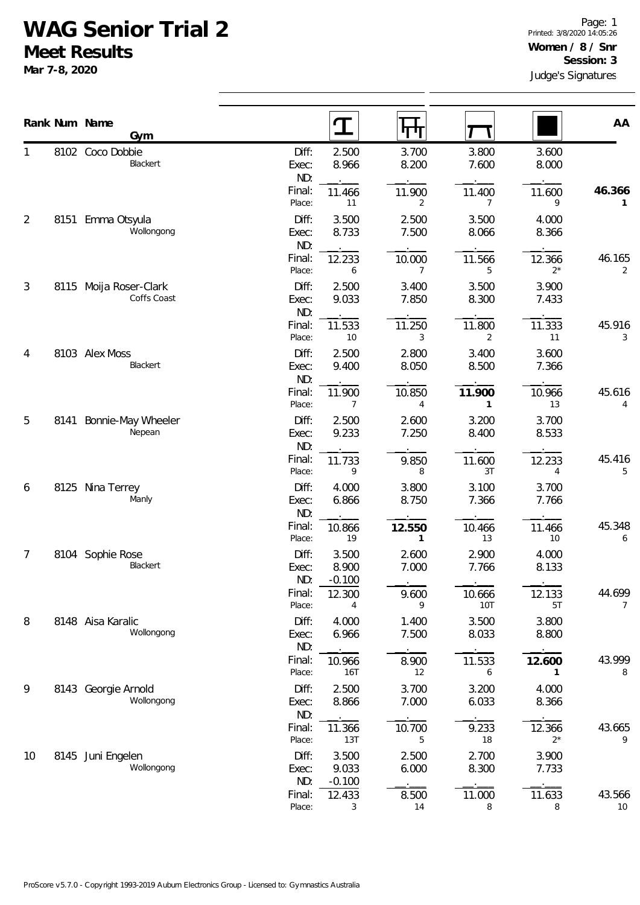## **WAG Senior Trial 2**

**Meet Results**

**Mar 7-8, 2020**

|                |      | Rank Num Name<br>Gym                  |                           |                            | गग                     |                          |                          | AA                       |
|----------------|------|---------------------------------------|---------------------------|----------------------------|------------------------|--------------------------|--------------------------|--------------------------|
| 1              |      | 8102 Coco Dobbie<br>Blackert          | Diff:<br>Exec:<br>ND:     | 2.500<br>8.966             | 3.700<br>8.200         | 3.800<br>7.600           | 3.600<br>8.000           |                          |
|                |      |                                       | Final:<br>Place:          | 11.466<br>11               | 11.900<br>2            | 11.400<br>7              | 11.600<br>9              | 46.366                   |
| $\overline{2}$ |      | 8151 Emma Otsyula<br>Wollongong       | Diff:<br>Exec:<br>ND:     | 3.500<br>8.733             | 2.500<br>7.500         | 3.500<br>8.066           | 4.000<br>8.366           |                          |
|                |      |                                       | Final:<br>Place:          | 12.233<br>6                | 10.000<br>7            | 11.566<br>5              | 12.366<br>$2^*$          | 46.165<br>2              |
| 3              |      | 8115 Moija Roser-Clark<br>Coffs Coast | Diff:<br>Exec:<br>ND:     | 2.500<br>9.033             | 3.400<br>7.850         | 3.500<br>8.300           | 3.900<br>7.433           |                          |
|                |      |                                       | Final:<br>Place:          | 11.533<br>$10\,$           | 11.250<br>3            | 11.800<br>$\overline{2}$ | 11.333<br>11             | 45.916<br>3              |
| 4<br>5<br>6    |      | 8103 Alex Moss<br>Blackert            | Diff:<br>Exec:<br>ND:     | 2.500<br>9.400             | 2.800<br>8.050         | 3.400<br>8.500           | 3.600<br>7.366           |                          |
|                |      |                                       | Final:<br>Place:          | 11.900<br>7                | 10.850<br>4            | 11.900<br>1              | 10.966<br>13             | 45.616<br>4              |
|                | 8141 | Bonnie-May Wheeler<br>Nepean          | Diff:<br>Exec:<br>ND:     | 2.500<br>9.233             | 2.600<br>7.250         | 3.200<br>8.400           | 3.700<br>8.533           |                          |
|                |      |                                       | Final:<br>Place:          | 11.733<br>9                | 9.850<br>8             | 11.600<br>3T             | 12.233<br>4              | 45.416<br>5              |
|                |      | 8125 Nina Terrey<br>Manly             | Diff:<br>Exec:<br>ND:     | 4.000<br>6.866             | 3.800<br>8.750         | 3.100<br>7.366           | 3.700<br>7.766           |                          |
|                |      |                                       | Final:<br>Place:          | 10.866<br>19               | 12.550<br>$\mathbf{1}$ | 10.466<br>13             | 11.466<br>10             | 45.348<br>6              |
| 7              |      | 8104 Sophie Rose<br>Blackert          | Diff:<br>Exec:<br>ND:     | 3.500<br>8.900<br>$-0.100$ | 2.600<br>7.000         | 2.900<br>7.766           | 4.000<br>8.133           |                          |
|                |      |                                       | Final:<br>Place:          | 12.300<br>4                | 9.600<br>9             | 10.666<br>10T            | 12.133<br>5T             | 44.699<br>$\overline{7}$ |
| 8              |      | 8148 Aisa Karalic<br>Wollongong       | Diff:<br>Exec:<br>ND:     | 4.000<br>6.966             | 1.400<br>7.500         | 3.500<br>8.033           | 3.800<br>8.800           |                          |
|                |      |                                       | Final:<br>Place:          | 10.966<br>16T              | 8.900<br>12            | 11.533<br>6              | 12.600<br>1              | 43.999<br>8              |
| 9              |      | 8143 Georgie Arnold<br>Wollongong     | Diff:<br>Exec:<br>ND:     | 2.500<br>8.866             | 3.700<br>7.000         | 3.200<br>6.033           | 4.000<br>8.366           |                          |
| 10             |      |                                       | Final:<br>Place:<br>Diff: | 11.366<br>13T<br>3.500     | 10.700<br>5<br>2.500   | 9.233<br>18<br>2.700     | 12.366<br>$2^*$<br>3.900 | 43.665<br>9              |
|                |      | 8145 Juni Engelen<br>Wollongong       | Exec:<br>ND:              | 9.033<br>$-0.100$          | 6.000                  | 8.300                    | 7.733                    |                          |
|                |      |                                       | Final:<br>Place:          | 12.433<br>3                | 8.500<br>14            | 11.000<br>8              | 11.633<br>8              | 43.566<br>10             |